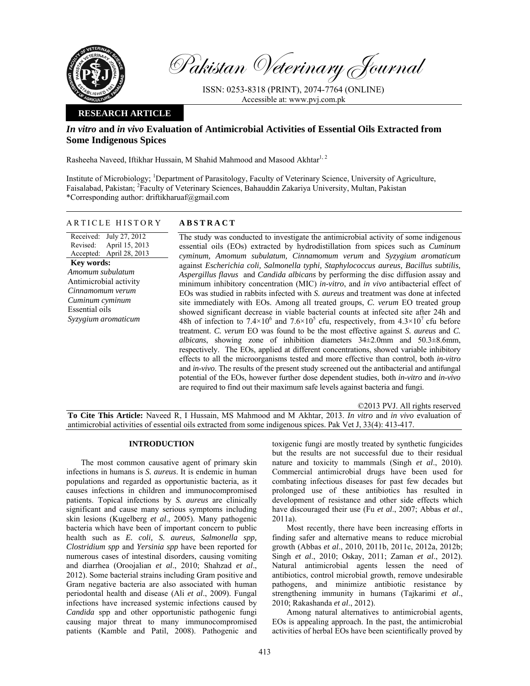

Pakistan Veterinary Journal

ISSN: 0253-8318 (PRINT), 2074-7764 (ONLINE) Accessible at: www.pvj.com.pk

# **RESEARCH ARTICLE**

# *In vitro* **and** *in vivo* **Evaluation of Antimicrobial Activities of Essential Oils Extracted from Some Indigenous Spices**

Rasheeha Naveed, Iftikhar Hussain, M Shahid Mahmood and Masood Akhtar<sup>1, 2</sup>

Institute of Microbiology; <sup>1</sup>Department of Parasitology, Faculty of Veterinary Science, University of Agriculture, Faisalabad, Pakistan; <sup>2</sup>Faculty of Veterinary Sciences, Bahauddin Zakariya University, Multan, Pakistan \*Corresponding author: driftikharuaf@gmail.com

## ARTICLE HISTORY **ABSTRACT**

Received: July 27, 2012 Revised: Accepted: April 28, 2013 April 15, 2013 **Key words:**  *Amomum subulatum*  Antimicrobial activity *Cinnamomum verum Cuminum cyminum*  Essential oils *Syzygium aromaticum* 

 The study was conducted to investigate the antimicrobial activity of some indigenous essential oils (EOs) extracted by hydrodistillation from spices such as *Cuminum cyminum, Amomum subulatum, Cinnamomum verum* and *Syzygium aromaticum* against *Escherichia coli, Salmonella typhi, Staphylococcus aureus, Bacillus subtilis, Aspergillus flavus* and *Candida albicans* by performing the disc diffusion assay and minimum inhibitory concentration (MIC) *in-vitro*, and *in vivo* antibacterial effect of EOs was studied in rabbits infected with *S. aureus* and treatment was done at infected site immediately with EOs. Among all treated groups, *C. verum* EO treated group showed significant decrease in viable bacterial counts at infected site after 24h and 48h of infection to 7.4×10<sup>6</sup> and 7.6×10<sup>5</sup> cfu, respectively, from 4.3×10<sup>7</sup> cfu before treatment. *C. verum* EO was found to be the most effective against *S. aureus* and *C. albicans*, showing zone of inhibition diameters 34±2.0mm and 50.3±8.6mm, respectively. The EOs, applied at different concentrations, showed variable inhibitory effects to all the microorganisms tested and more effective than control, both *in-vitro* and *in-vivo*. The results of the present study screened out the antibacterial and antifungal potential of the EOs, however further dose dependent studies, both *in-vitro* and *in-vivo* are required to find out their maximum safe levels against bacteria and fungi.

©2013 PVJ. All rights reserved **To Cite This Article:** Naveed R, I Hussain, MS Mahmood and M Akhtar, 2013. *In vitro* and *in vivo* evaluation of antimicrobial activities of essential oils extracted from some indigenous spices. Pak Vet J, 33(4): 413-417.

## **INTRODUCTION**

The most common causative agent of primary skin infections in humans is *S. aureus*. It is endemic in human populations and regarded as opportunistic bacteria, as it causes infections in children and immunocompromised patients. Topical infections by *S. aureus* are clinically significant and cause many serious symptoms including skin lesions (Kugelberg *et al*., 2005). Many pathogenic bacteria which have been of important concern to public health such as *E. coli, S. aureus, Salmonella spp, Clostridium spp* and *Yersinia spp* have been reported for numerous cases of intestinal disorders, causing vomiting and diarrhea (Oroojalian *et al*., 2010; Shahzad *et al*., 2012). Some bacterial strains including Gram positive and Gram negative bacteria are also associated with human periodontal health and disease (Ali *et al*., 2009). Fungal infections have increased systemic infections caused by *Candida* spp and other opportunistic pathogenic fungi causing major threat to many immunocompromised patients (Kamble and Patil, 2008). Pathogenic and

toxigenic fungi are mostly treated by synthetic fungicides but the results are not successful due to their residual nature and toxicity to mammals (Singh *et al*., 2010). Commercial antimicrobial drugs have been used for combating infectious diseases for past few decades but prolonged use of these antibiotics has resulted in development of resistance and other side effects which have discouraged their use (Fu *et al*., 2007; Abbas *et al*., 2011a).

Most recently, there have been increasing efforts in finding safer and alternative means to reduce microbial growth (Abbas *et al*., 2010, 2011b, 2011c, 2012a, 2012b; Singh *et al*., 2010; Oskay, 2011; Zaman *et al*., 2012). Natural antimicrobial agents lessen the need of antibiotics, control microbial growth, remove undesirable pathogens, and minimize antibiotic resistance by strengthening immunity in humans (Tajkarimi *et al*., 2010; Rakashanda *et al*., 2012).

Among natural alternatives to antimicrobial agents, EOs is appealing approach. In the past, the antimicrobial activities of herbal EOs have been scientifically proved by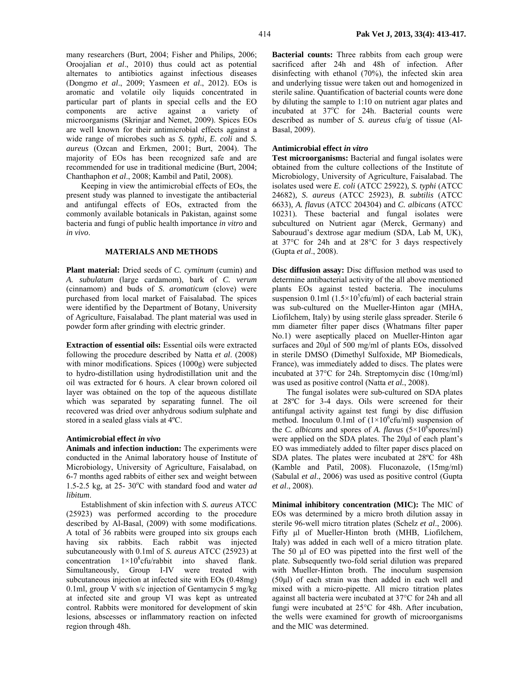many researchers (Burt, 2004; Fisher and Philips, 2006; Oroojalian *et al*., 2010) thus could act as potential alternates to antibiotics against infectious diseases (Dongmo *et al*., 2009; Yasmeen *et al*., 2012). EOs is aromatic and volatile oily liquids concentrated in particular part of plants in special cells and the EO components are active against a variety of microorganisms (Skrinjar and Nemet, 2009). Spices EOs are well known for their antimicrobial effects against a wide range of microbes such as *S. typhi, E. coli* and *S. aureus* (Ozcan and Erkmen, 2001; Burt, 2004). The

majority of EOs has been recognized safe and are recommended for use in traditional medicine (Burt, 2004; Chanthaphon *et al*., 2008; Kambil and Patil, 2008). Keeping in view the antimicrobial effects of EOs, the present study was planned to investigate the antibacterial and antifungal effects of EOs, extracted from the commonly available botanicals in Pakistan, against some bacteria and fungi of public health importance *in vitro* and

### **MATERIALS AND METHODS**

**Plant material:** Dried seeds of *C. cyminum* (cumin) and *A. subulatum* (large cardamom), bark of *C. verum*  (cinnamom) and buds of *S. aromaticum* (clove) were purchased from local market of Faisalabad. The spices were identified by the Department of Botany, University of Agriculture, Faisalabad. The plant material was used in powder form after grinding with electric grinder.

**Extraction of essential oils:** Essential oils were extracted following the procedure described by Natta *et al*. (2008) with minor modifications. Spices (1000g) were subjected to hydro-distillation using hydrodistillation unit and the oil was extracted for 6 hours. A clear brown colored oil layer was obtained on the top of the aqueous distillate which was separated by separating funnel. The oil recovered was dried over anhydrous sodium sulphate and stored in a sealed glass vials at 4ºC.

#### **Antimicrobial effect** *in vivo*

*in vivo*.

**Animals and infection induction:** The experiments were conducted in the Animal laboratory house of Institute of Microbiology, University of Agriculture, Faisalabad, on 6-7 months aged rabbits of either sex and weight between 1.5-2.5 kg, at 25- 30°C with standard food and water *ad libitum*.

Establishment of skin infection with *S. aureus* ATCC (25923) was performed according to the procedure described by Al-Basal, (2009) with some modifications. A total of 36 rabbits were grouped into six groups each having six rabbits. Each rabbit was injected subcutaneously with 0.1ml of *S. aureus* ATCC (25923) at concentration  $1 \times 10^8$ cfu/rabbit into shaved flank. Simultaneously, Group I-IV were treated with subcutaneous injection at infected site with EOs (0.48mg) 0.1ml, group V with s/c injection of Gentamycin 5 mg/kg at infected site and group VI was kept as untreated control. Rabbits were monitored for development of skin lesions, abscesses or inflammatory reaction on infected region through 48h.

**Bacterial counts:** Three rabbits from each group were sacrificed after 24h and 48h of infection. After disinfecting with ethanol (70%), the infected skin area and underlying tissue were taken out and homogenized in sterile saline. Quantification of bacterial counts were done by diluting the sample to 1:10 on nutrient agar plates and incubated at  $37^{\circ}$ C for 24h. Bacterial counts were described as number of *S. aureus* cfu/g of tissue (Al-Basal, 2009).

### **Antimicrobial effect** *in vitro*

**Test microorganisms:** Bacterial and fungal isolates were obtained from the culture collections of the Institute of Microbiology, University of Agriculture, Faisalabad. The isolates used were *E. coli* (ATCC 25922)*, S. typhi* (ATCC 24682)*, S. aureus* (ATCC 25923)*, B. subtilis* (ATCC 6633)*, A. flavus* (ATCC 204304) and *C. albicans* (ATCC 10231)*.* These bacterial and fungal isolates were subcultured on Nutrient agar (Merck, Germany) and Sabouraud's dextrose agar medium (SDA, Lab M, UK), at 37°C for 24h and at 28°C for 3 days respectively (Gupta *et al*., 2008).

**Disc diffusion assay:** Disc diffusion method was used to determine antibacterial activity of the all above mentioned plants EOs against tested bacteria. The inoculums suspension 0.1ml  $(1.5 \times 10^5 \text{cftt/ml})$  of each bacterial strain was sub-cultured on the Mueller-Hinton agar (MHA, Liofilchem, Italy) by using sterile glass spreader. Sterile 6 mm diameter filter paper discs (Whatmans filter paper No.1) were aseptically placed on Mueller-Hinton agar surfaces and 20µl of 500 mg/ml of plants EOs, dissolved in sterile DMSO (Dimethyl Sulfoxide, MP Biomedicals, France), was immediately added to discs. The plates were incubated at 37°C for 24h. Streptomycin disc (10mg/ml) was used as positive control (Natta *et al.*, 2008).

The fungal isolates were sub-cultured on SDA plates at 28ºC for 3-4 days. Oils were screened for their antifungal activity against test fungi by disc diffusion method. Inoculum 0.1ml of  $(1\times10^{6}$ cfu/ml) suspension of the *C. albicans* and spores of *A. flavus* ( $5 \times 10^6$ spores/ml) were applied on the SDA plates. The 20µl of each plant's EO was immediately added to filter paper discs placed on SDA plates. The plates were incubated at 28ºC for 48h (Kamble and Patil, 2008). Fluconazole, (15mg/ml) (Sabulal *et al*., 2006) was used as positive control (Gupta *et al*., 2008).

**Minimal inhibitory concentration (MIC):** The MIC of EOs was determined by a micro broth dilution assay in sterile 96-well micro titration plates (Schelz *et al*., 2006). Fifty µl of Mueller-Hinton broth (MHB, Liofilchem, Italy) was added in each well of a micro titration plate. The 50  $\mu$ l of EO was pipetted into the first well of the plate. Subsequently two-fold serial dilution was prepared with Mueller-Hinton broth. The inoculum suspension (50µl) of each strain was then added in each well and mixed with a micro-pipette. All micro titration plates against all bacteria were incubated at 37°C for 24h and all fungi were incubated at 25°C for 48h. After incubation, the wells were examined for growth of microorganisms and the MIC was determined.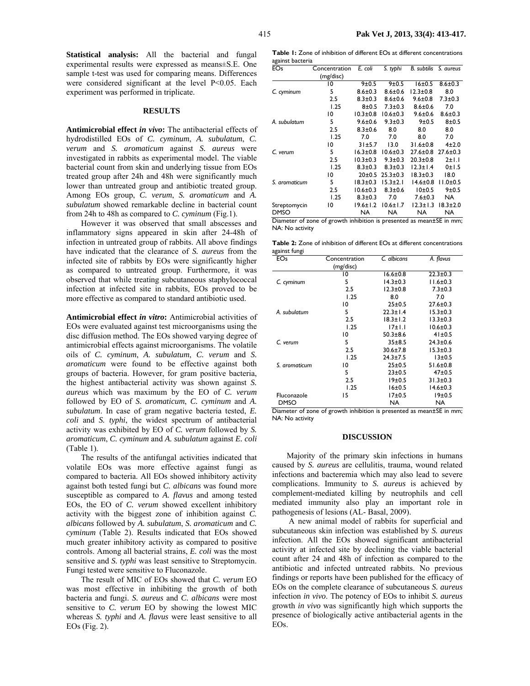**Statistical analysis:** All the bacterial and fungal experimental results were expressed as means±S.E. One sample t-test was used for comparing means. Differences were considered significant at the level P<0.05. Each experiment was performed in triplicate.

#### **RESULTS**

**Antimicrobial effect** *in vivo***:** The antibacterial effects of hydrodistilled EOs of *C. cyminum*, *A. subulatum*, *C. verum* and *S. aromaticum* against *S. aureus* were investigated in rabbits as experimental model. The viable bacterial count from skin and underlying tissue from EOs treated group after 24h and 48h were significantly much lower than untreated group and antibiotic treated group. Among EOs group, *C. verum*, *S. aromaticum* and *A. subulatum* showed remarkable decline in bacterial count from 24h to 48h as compared to *C. cyminum* (Fig.1).

However it was observed that small abscesses and inflammatory signs appeared in skin after 24-48h of infection in untreated group of rabbits. All above findings have indicated that the clearance of *S. aureus* from the infected site of rabbits by EOs were significantly higher as compared to untreated group. Furthermore, it was observed that while treating subcutaneous staphylococcal infection at infected site in rabbits, EOs proved to be more effective as compared to standard antibiotic used.

**Antimicrobial effect** *in vitro***:** Antimicrobial activities of EOs were evaluated against test microorganisms using the disc diffusion method. The EOs showed varying degree of antimicrobial effects against microorganisms. The volatile oils of *C. cyminum*, *A. subulatum*, *C. verum* and *S. aromaticum* were found to be effective against both groups of bacteria. However, for gram positive bacteria, the highest antibacterial activity was shown against *S. aureus* which was maximum by the EO of *C. verum* followed by EO of *S. aromaticum*, *C. cyminum* and *A. subulatum*. In case of gram negative bacteria tested, *E. coli* and *S. typhi*, the widest spectrum of antibacterial activity was exhibited by EO of *C. verum* followed by *S. aromaticum*, *C. cyminum* and *A. subulatum* against *E. coli* (Table 1).

The results of the antifungal activities indicated that volatile EOs was more effective against fungi as compared to bacteria. All EOs showed inhibitory activity against both tested fungi but *C. albicans* was found more susceptible as compared to *A. flavus* and among tested EOs, the EO of *C. verum* showed excellent inhibitory activity with the biggest zone of inhibition against *C. albicans* followed by *A. subulatum*, *S. aromaticum* and *C. cyminum* (Table 2). Results indicated that EOs showed much greater inhibitory activity as compared to positive controls. Among all bacterial strains, *E. coli* was the most sensitive and *S. typhi* was least sensitive to Streptomycin. Fungi tested were sensitive to Fluconazole.

The result of MIC of EOs showed that *C. verum* EO was most effective in inhibiting the growth of both bacteria and fungi. *S. aureus* and *C. albicans* were most sensitive to *C. verum* EO by showing the lowest MIC whereas *S. typhi* and *A. flavus* were least sensitive to all EOs (Fig. 2).

**Table 1:** Zone of inhibition of different EOs at different concentrations against bacteria

| (mg/disc)<br>10<br>5<br>2.5 | 9±0.5<br>$8.6 \pm 0.3$ | 9±0.5          | 16±0.5         |                                                                      |
|-----------------------------|------------------------|----------------|----------------|----------------------------------------------------------------------|
|                             |                        |                |                |                                                                      |
|                             |                        |                |                | $8.6 \pm 0.3$                                                        |
|                             |                        | $8.6 \pm 0.6$  | $12.3 \pm 0.8$ | 8.0                                                                  |
|                             | $8.3 \pm 0.3$          | $8.6 \pm 0.6$  | $9.6 \pm 0.8$  | $7.3 \pm 0.3$                                                        |
| 1.25                        | $8 + 0.5$              | $7.3 + 0.3$    | $8.6 + 0.6$    | 7.0                                                                  |
| 10                          | $10.3 \pm 0.8$         | $10.6 \pm 0.3$ | $9.6 \pm 0.6$  | $8.6 \pm 0.3$                                                        |
| 5                           | $9.6 \pm 0.6$          | $9.3 \pm 0.3$  | $9 + 0.5$      | $8 + 0.5$                                                            |
| 2.5                         | $8.3 \pm 0.6$          | 8.0            | 8.0            | 8.0                                                                  |
| 1.25                        | 7.0                    | 7.0            | 8.0            | 7.0                                                                  |
| 10                          | 31±5.7                 | 13.0           | $31.6 \pm 0.8$ | $4 + 2.0$                                                            |
| 5                           | $16.3 \pm 0.8$         | $10.6 \pm 0.3$ | $27.6 \pm 0.8$ | $27.6 \pm 0.3$                                                       |
| 2.5                         | $10.3 \pm 0.3$         | $9.3 \pm 0.3$  | $20.3 \pm 0.8$ | 2±1.1                                                                |
| 1.25                        | $8.3 \pm 0.3$          | $8.3 \pm 0.3$  | $12.3 \pm 1.4$ | 0±1.5                                                                |
| 10                          | 20±0.5                 | $25.3 \pm 0.3$ | $18.3 \pm 0.3$ | 18.0                                                                 |
| 5                           | $18.3 \pm 0.3$         | $15.3 \pm 2.1$ | $14.6 \pm 0.8$ | $11.0 \pm 0.5$                                                       |
| 2.5                         | $10.6 \pm 0.3$         | $8.3 + 0.6$    | 10±0.5         | 9±0.5                                                                |
| 1.25                        | $8.3 \pm 0.3$          | 7.0            | $7.6 \pm 0.3$  | NA.                                                                  |
| 10                          | $19.6 \pm 1.2$         | $10.6 \pm 1.7$ | $12.3 \pm 1.3$ | $18.3 \pm 2.0$                                                       |
|                             | NA                     | NA             | NA             | NA                                                                   |
|                             |                        |                |                | Diameter of zone of growth inhibition is presented as mean±SE in mm; |

NA: No activity

**Table 2:** Zone of inhibition of different EOs at different concentrations against fungi

| ືອີີິິິ                         |                                                                               |                      |                |
|---------------------------------|-------------------------------------------------------------------------------|----------------------|----------------|
| EOs                             | Concentration                                                                 | C. albicans          | A. flavus      |
|                                 | (mg/disc)                                                                     |                      |                |
|                                 | 10                                                                            | $16.6 \pm 0.8$       | $22.3 \pm 0.3$ |
| C. cyminum                      | 5                                                                             | $14.3 \pm 0.3$       | $11.6 \pm 0.3$ |
|                                 | 2.5                                                                           | $12.3 \pm 0.8$       | $7.3 \pm 0.3$  |
|                                 | 1.25                                                                          | 8.0                  | 7.0            |
|                                 | 10                                                                            | $25 \pm 0.5$         | $27.6 \pm 0.3$ |
| A. subulatum                    | 5                                                                             | $22.3 \pm 1.4$       | $15.3 \pm 0.3$ |
|                                 | 2.5                                                                           | $18.3 \pm 1.2$       | $13.3 \pm 0.3$ |
|                                 | 1.25                                                                          | 17±1.1               | $10.6 \pm 0.3$ |
|                                 | 10                                                                            | $50.3 + 8.6$         | 41±0.5         |
| C. verum                        | 5                                                                             | $35 + 8.5$           | $24.3 \pm 0.6$ |
|                                 | 2.5                                                                           | $30.6 \pm 7.8$       | $15.3 \pm 0.3$ |
|                                 | 1.25                                                                          | $24.3 + 7.5$         | $13+0.5$       |
| S. aromaticum                   | 10                                                                            | 25±0.5               | $51.6 \pm 0.8$ |
|                                 | 5                                                                             | 23±0.5               | $47+0.5$       |
|                                 | 2.5                                                                           | 19±0.5               | $31.3 \pm 0.3$ |
|                                 | 1.25                                                                          | 16±0.5               | $14.6 \pm 0.3$ |
| Fluconazole                     | 15                                                                            | 17±0.5               | 19±0.5         |
| <b>DMSO</b><br>r.<br>$\epsilon$ | $\mathbf{1}$ and $\mathbf{1}$ and $\mathbf{1}$ and $\mathbf{1}$<br>$\epsilon$ | <b>NA</b><br>$\cdot$ | NA.            |

Diameter of zone of growth inhibition is presented as mean±SE in mm; NA: No activity

#### **DISCUSSION**

Majority of the primary skin infections in humans caused by *S. aureus* are cellulitis, trauma, wound related infections and bacteremia which may also lead to severe complications. Immunity to *S. aureus* is achieved by complement-mediated killing by neutrophils and cell mediated immunity also play an important role in pathogenesis of lesions (AL- Basal, 2009).

 A new animal model of rabbits for superficial and subcutaneous skin infection was established by *S. aureus* infection. All the EOs showed significant antibacterial activity at infected site by declining the viable bacterial count after 24 and 48h of infection as compared to the antibiotic and infected untreated rabbits. No previous findings or reports have been published for the efficacy of EOs on the complete clearance of subcutaneous *S. aureus* infection *in vivo*. The potency of EOs to inhibit *S. aureus* growth *in vivo* was significantly high which supports the presence of biologically active antibacterial agents in the EOs.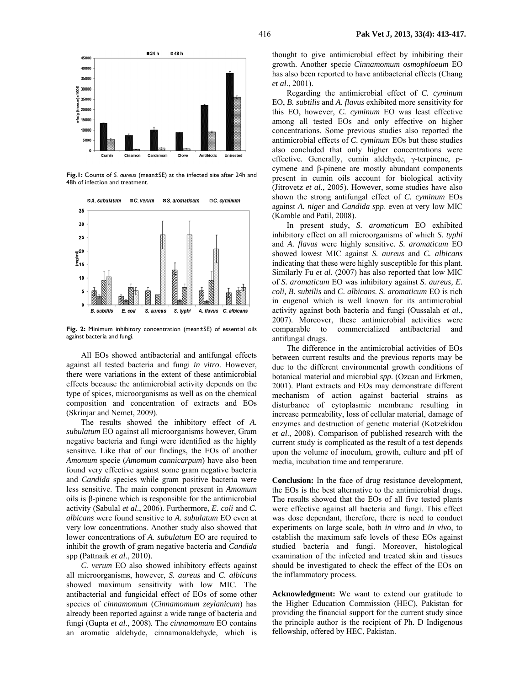

**Fig.1:** Counts of *S. aureus* (mean±SE) at the infected site after 24h and 48h of infection and treatment.



**Fig. 2:** Minimum inhibitory concentration (mean±SE) of essential oils against bacteria and fungi.

All EOs showed antibacterial and antifungal effects against all tested bacteria and fungi *in vitro*. However, there were variations in the extent of these antimicrobial effects because the antimicrobial activity depends on the type of spices, microorganisms as well as on the chemical composition and concentration of extracts and EOs (Skrinjar and Nemet, 2009).

The results showed the inhibitory effect of *A. subulatum* EO against all microorganisms however, Gram negative bacteria and fungi were identified as the highly sensitive. Like that of our findings, the EOs of another *Amomum* specie (*Amomum cannicarpum*) have also been found very effective against some gram negative bacteria and *Candida* species while gram positive bacteria were less sensitive. The main component present in *Amomum* oils is β-pinene which is responsible for the antimicrobial activity (Sabulal *et al*., 2006). Furthermore, *E. coli* and *C. albicans* were found sensitive to *A. subulatum* EO even at very low concentrations. Another study also showed that lower concentrations of *A. subulatum* EO are required to inhibit the growth of gram negative bacteria and *Candida*  spp (Pattnaik *et al*., 2010).

*C. verum* EO also showed inhibitory effects against all microorganisms, however, *S. aureus* and *C. albicans* showed maximum sensitivity with low MIC*.* The antibacterial and fungicidal effect of EOs of some other species of *cinnamomum* (*Cinnamomum zeylanicum*) has already been reported against a wide range of bacteria and fungi (Gupta *et al*., 2008)*.* The *cinnamomum* EO contains an aromatic aldehyde, cinnamonaldehyde, which is thought to give antimicrobial effect by inhibiting their growth. Another specie *Cinnamomum osmophloeum* EO has also been reported to have antibacterial effects (Chang *et al*., 2001).

Regarding the antimicrobial effect of *C. cyminum*  EO, *B. subtilis* and *A. flavus* exhibited more sensitivity for this EO, however, *C. cyminum* EO was least effective among all tested EOs and only effective on higher concentrations. Some previous studies also reported the antimicrobial effects of *C. cyminum* EOs but these studies also concluded that only higher concentrations were effective. Generally, cumin aldehyde, γ-terpinene, pcymene and β-pinene are mostly abundant components present in cumin oils account for biological activity (Jitrovetz *et al*., 2005). However, some studies have also shown the strong antifungal effect of *C. cyminum* EOs against *A. niger* and *Candida spp*. even at very low MIC (Kamble and Patil, 2008).

In present study, *S. aromaticum* EO exhibited inhibitory effect on all microorganisms of which *S. typhi*  and *A. flavus* were highly sensitive. *S. aromaticum* EO showed lowest MIC against *S. aureus* and *C. albicans*  indicating that these were highly susceptible for this plant*.*  Similarly Fu *et al*. (2007) has also reported that low MIC of *S. aromaticum* EO was inhibitory against *S. aureus, E. coli, B. subtilis* and *C. albicans*. *S. aromaticum* EO is rich in eugenol which is well known for its antimicrobial activity against both bacteria and fungi (Oussalah *et al*., 2007). Moreover, these antimicrobial activities were comparable to commercialized antibacterial and antifungal drugs.

The difference in the antimicrobial activities of EOs between current results and the previous reports may be due to the different environmental growth conditions of botanical material and microbial *spp.* (Ozcan and Erkmen, 2001). Plant extracts and EOs may demonstrate different mechanism of action against bacterial strains as disturbance of cytoplasmic membrane resulting in increase permeability, loss of cellular material, damage of enzymes and destruction of genetic material (Kotzekidou *et al*., 2008). Comparison of published research with the current study is complicated as the result of a test depends upon the volume of inoculum, growth, culture and pH of media, incubation time and temperature.

**Conclusion:** In the face of drug resistance development, the EOs is the best alternative to the antimicrobial drugs. The results showed that the EOs of all five tested plants were effective against all bacteria and fungi. This effect was dose dependant, therefore, there is need to conduct experiments on large scale, both *in vitro* and *in vivo*, to establish the maximum safe levels of these EOs against studied bacteria and fungi. Moreover, histological examination of the infected and treated skin and tissues should be investigated to check the effect of the EOs on the inflammatory process.

**Acknowledgment:** We want to extend our gratitude to the Higher Education Commission (HEC), Pakistan for providing the financial support for the current study since the principle author is the recipient of Ph. D Indigenous fellowship, offered by HEC, Pakistan.